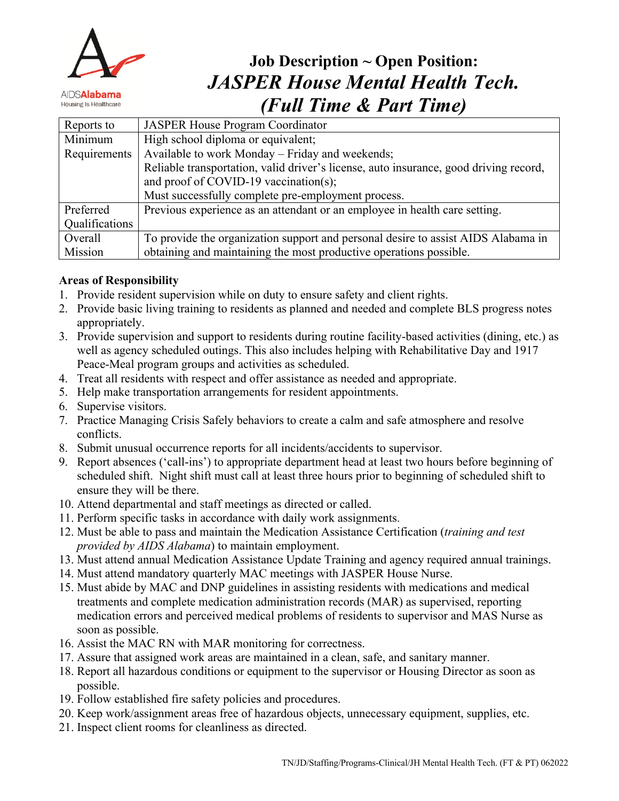

# **Job Description ~ Open Position:** *JASPER House Mental Health Tech. (Full Time & Part Time)*

| Reports to     | <b>JASPER House Program Coordinator</b>                                               |
|----------------|---------------------------------------------------------------------------------------|
| Minimum        | High school diploma or equivalent;                                                    |
| Requirements   | Available to work Monday – Friday and weekends;                                       |
|                | Reliable transportation, valid driver's license, auto insurance, good driving record, |
|                | and proof of COVID-19 vaccination(s);                                                 |
|                | Must successfully complete pre-employment process.                                    |
| Preferred      | Previous experience as an attendant or an employee in health care setting.            |
| Qualifications |                                                                                       |
| Overall        | To provide the organization support and personal desire to assist AIDS Alabama in     |
| Mission        | obtaining and maintaining the most productive operations possible.                    |

## **Areas of Responsibility**

- 1. Provide resident supervision while on duty to ensure safety and client rights.
- 2. Provide basic living training to residents as planned and needed and complete BLS progress notes appropriately.
- 3. Provide supervision and support to residents during routine facility-based activities (dining, etc.) as well as agency scheduled outings. This also includes helping with Rehabilitative Day and 1917 Peace-Meal program groups and activities as scheduled.
- 4. Treat all residents with respect and offer assistance as needed and appropriate.
- 5. Help make transportation arrangements for resident appointments.
- 6. Supervise visitors.
- 7. Practice Managing Crisis Safely behaviors to create a calm and safe atmosphere and resolve conflicts.
- 8. Submit unusual occurrence reports for all incidents/accidents to supervisor.
- 9. Report absences ('call-ins') to appropriate department head at least two hours before beginning of scheduled shift. Night shift must call at least three hours prior to beginning of scheduled shift to ensure they will be there.
- 10. Attend departmental and staff meetings as directed or called.
- 11. Perform specific tasks in accordance with daily work assignments.
- 12. Must be able to pass and maintain the Medication Assistance Certification (*training and test provided by AIDS Alabama*) to maintain employment.
- 13. Must attend annual Medication Assistance Update Training and agency required annual trainings.
- 14. Must attend mandatory quarterly MAC meetings with JASPER House Nurse.
- 15. Must abide by MAC and DNP guidelines in assisting residents with medications and medical treatments and complete medication administration records (MAR) as supervised, reporting medication errors and perceived medical problems of residents to supervisor and MAS Nurse as soon as possible.
- 16. Assist the MAC RN with MAR monitoring for correctness.
- 17. Assure that assigned work areas are maintained in a clean, safe, and sanitary manner.
- 18. Report all hazardous conditions or equipment to the supervisor or Housing Director as soon as possible.
- 19. Follow established fire safety policies and procedures.
- 20. Keep work/assignment areas free of hazardous objects, unnecessary equipment, supplies, etc.
- 21. Inspect client rooms for cleanliness as directed.